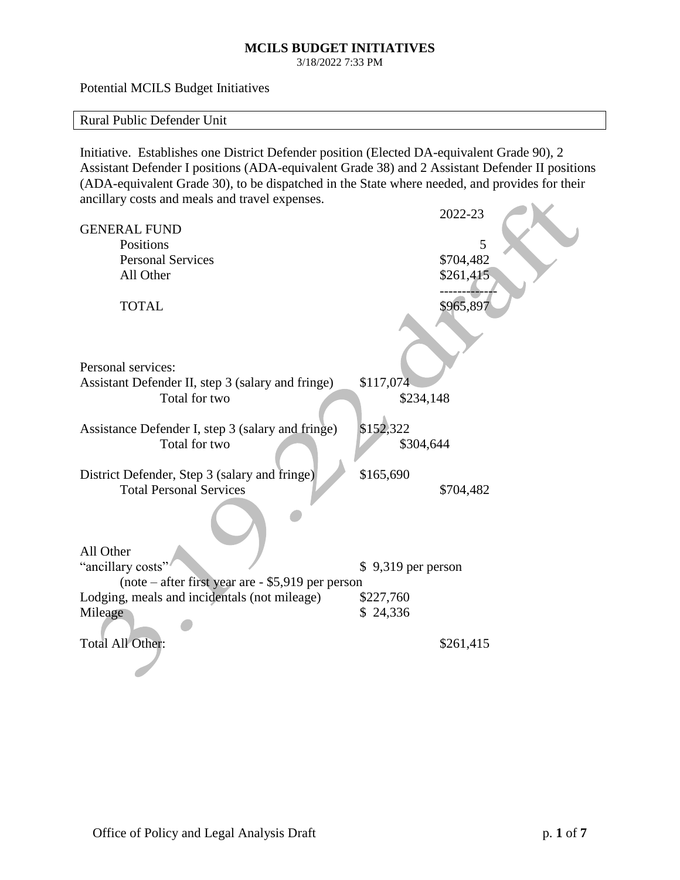3/18/2022 7:33 PM

Potential MCILS Budget Initiatives

Rural Public Defender Unit

Initiative. Establishes one District Defender position (Elected DA-equivalent Grade 90), 2 Assistant Defender I positions (ADA-equivalent Grade 38) and 2 Assistant Defender II positions (ADA-equivalent Grade 30), to be dispatched in the State where needed, and provides for their ancillary costs and meals and travel expenses.  $\sim$   $\sim$ 

|                                                                    | 2022-23             |   |
|--------------------------------------------------------------------|---------------------|---|
| <b>GENERAL FUND</b>                                                |                     |   |
| Positions                                                          |                     | 5 |
| <b>Personal Services</b>                                           | \$704,482           |   |
| All Other                                                          | \$261,415           |   |
|                                                                    |                     |   |
| <b>TOTAL</b>                                                       | \$965,897           |   |
|                                                                    |                     |   |
|                                                                    |                     |   |
| Personal services:                                                 |                     |   |
|                                                                    | \$117,074           |   |
| Assistant Defender II, step 3 (salary and fringe)<br>Total for two | \$234,148           |   |
|                                                                    |                     |   |
| Assistance Defender I, step 3 (salary and fringe)                  | \$152,322           |   |
| Total for two                                                      | \$304,644           |   |
|                                                                    |                     |   |
| District Defender, Step 3 (salary and fringe)                      | \$165,690           |   |
| <b>Total Personal Services</b>                                     | \$704,482           |   |
|                                                                    |                     |   |
|                                                                    |                     |   |
|                                                                    |                     |   |
| All Other                                                          |                     |   |
| "ancillary costs"                                                  | $$9,319$ per person |   |
| (note – after first year are - \$5,919 per person                  |                     |   |
| Lodging, meals and incidentals (not mileage)                       | \$227,760           |   |
| Mileage                                                            | \$24,336            |   |
|                                                                    |                     |   |
| Total All Other:                                                   | \$261,415           |   |
|                                                                    |                     |   |
|                                                                    |                     |   |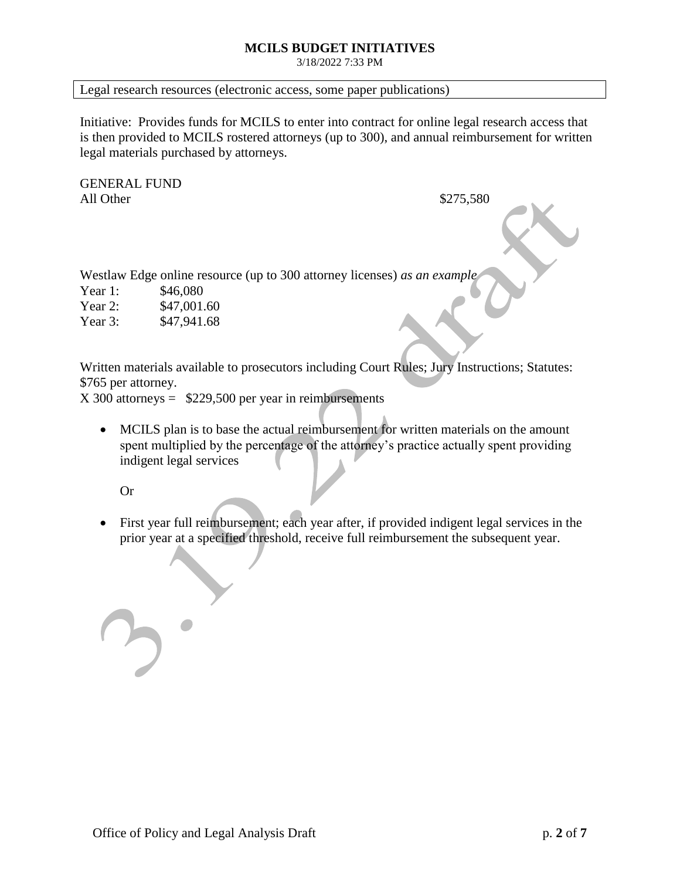3/18/2022 7:33 PM

### Legal research resources (electronic access, some paper publications)

Initiative: Provides funds for MCILS to enter into contract for online legal research access that is then provided to MCILS rostered attorneys (up to 300), and annual reimbursement for written legal materials purchased by attorneys.

GENERAL FUND All Other  $$275,580$ 

Westlaw Edge online resource (up to 300 attorney licenses) *as an example*

Year 1: \$46,080 Year 2: \$47,001.60

Year 3: \$47,941.68

Written materials available to prosecutors including Court Rules; Jury Instructions; Statutes: \$765 per attorney.

 $X$  300 attorneys = \$229,500 per year in reimbursements

• MCILS plan is to base the actual reimbursement for written materials on the amount spent multiplied by the percentage of the attorney's practice actually spent providing indigent legal services

Or

• First year full reimbursement; each year after, if provided indigent legal services in the prior year at a specified threshold, receive full reimbursement the subsequent year.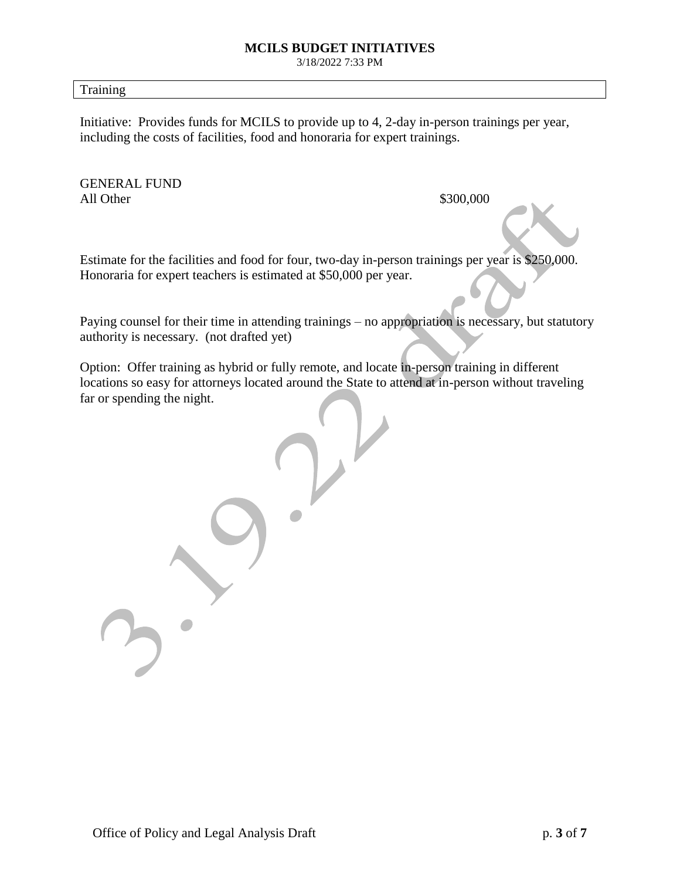3/18/2022 7:33 PM

Training

Initiative: Provides funds for MCILS to provide up to 4, 2-day in-person trainings per year, including the costs of facilities, food and honoraria for expert trainings.

GENERAL FUND All Other  $$300,000$ 

Estimate for the facilities and food for four, two-day in-person trainings per year is \$250,000. Honoraria for expert teachers is estimated at \$50,000 per year.

Paying counsel for their time in attending trainings – no appropriation is necessary, but statutory authority is necessary. (not drafted yet)

Option: Offer training as hybrid or fully remote, and locate in-person training in different locations so easy for attorneys located around the State to attend at in-person without traveling far or spending the night.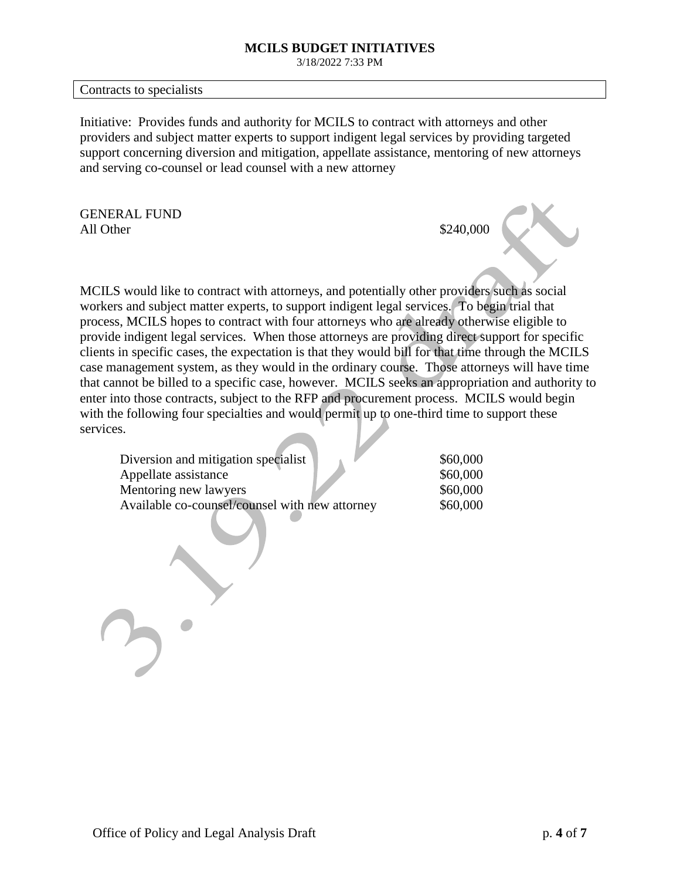3/18/2022 7:33 PM

Contracts to specialists

Initiative: Provides funds and authority for MCILS to contract with attorneys and other providers and subject matter experts to support indigent legal services by providing targeted support concerning diversion and mitigation, appellate assistance, mentoring of new attorneys and serving co-counsel or lead counsel with a new attorney

GENERAL FUND All Other  $$240,000$ 

MCILS would like to contract with attorneys, and potentially other providers such as social workers and subject matter experts, to support indigent legal services. To begin trial that process, MCILS hopes to contract with four attorneys who are already otherwise eligible to provide indigent legal services. When those attorneys are providing direct support for specific clients in specific cases, the expectation is that they would bill for that time through the MCILS case management system, as they would in the ordinary course. Those attorneys will have time that cannot be billed to a specific case, however. MCILS seeks an appropriation and authority to enter into those contracts, subject to the RFP and procurement process. MCILS would begin with the following four specialties and would permit up to one-third time to support these services.

| Diversion and mitigation specialist            | \$60,000 |
|------------------------------------------------|----------|
| Appellate assistance                           | \$60,000 |
| Mentoring new lawyers                          | \$60,000 |
| Available co-counsel/counsel with new attorney | \$60,000 |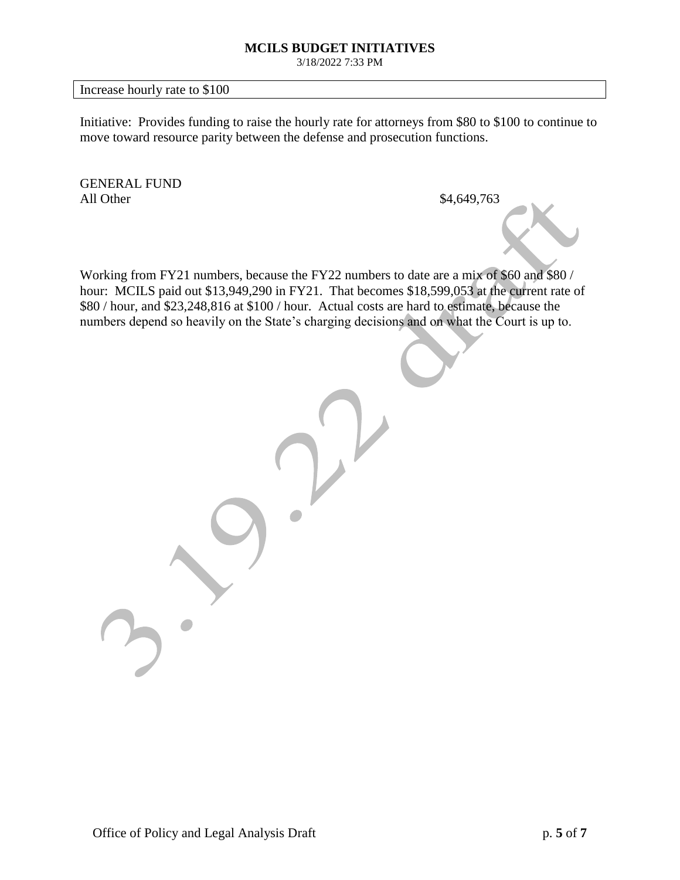3/18/2022 7:33 PM

Increase hourly rate to \$100

Initiative: Provides funding to raise the hourly rate for attorneys from \$80 to \$100 to continue to move toward resource parity between the defense and prosecution functions.

GENERAL FUND All Other \$4,649,763

Working from FY21 numbers, because the FY22 numbers to date are a mix of \$60 and \$80 / hour: MCILS paid out \$13,949,290 in FY21. That becomes \$18,599,053 at the current rate of \$80 / hour, and \$23,248,816 at \$100 / hour. Actual costs are hard to estimate, because the numbers depend so heavily on the State's charging decisions and on what the Court is up to.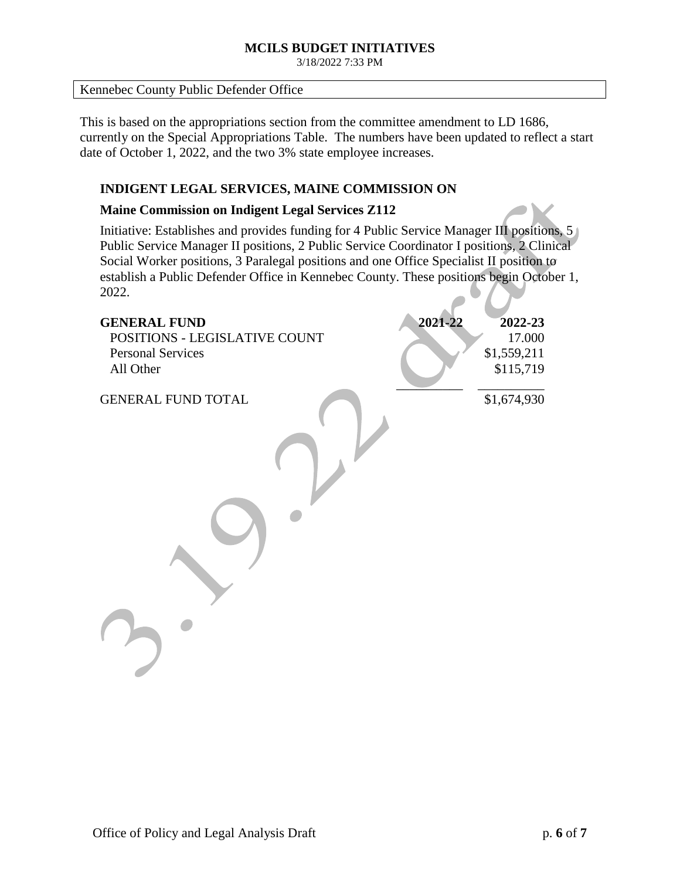3/18/2022 7:33 PM

### Kennebec County Public Defender Office

This is based on the appropriations section from the committee amendment to LD 1686, currently on the Special Appropriations Table. The numbers have been updated to reflect a start date of October 1, 2022, and the two 3% state employee increases.

# **INDIGENT LEGAL SERVICES, MAINE COMMISSION ON**

### **Maine Commission on Indigent Legal Services Z112**

Initiative: Establishes and provides funding for 4 Public Service Manager III positions, 5 Public Service Manager II positions, 2 Public Service Coordinator I positions, 2 Clinical Social Worker positions, 3 Paralegal positions and one Office Specialist II position to establish a Public Defender Office in Kennebec County. These positions begin October 1, 2022.

| <b>GENERAL FUND</b><br>POSITIONS - LEGISLATIVE COUNT<br><b>Personal Services</b><br>All Other | 2021-22 | 2022-23<br>17.000<br>\$1,559,211<br>\$115,719 |
|-----------------------------------------------------------------------------------------------|---------|-----------------------------------------------|
| <b>GENERAL FUND TOTAL</b>                                                                     |         | \$1,674,930                                   |